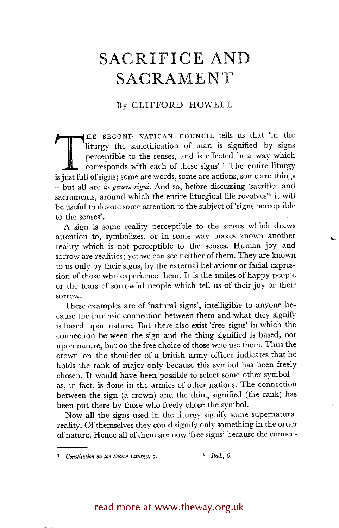## **SACRIFICE AND SACRAMENT**

## By CLIFFORD HOWELL

The sanctification of man is signified by signs perceptible to the senses, and is effected in a way which corresponds with each of these signs'.<sup>1</sup> The entire liturgy is just full of signs; some are words, some are actions HE SECOND VATICAN COUNCIL tells us that 'in the liturgy the sanctification of man is signified by signs perceptible to the senses, and is effected in a way which corresponds with each of these signs'? The entire liturgy - but all are *in genere* signi. And so, before discussing 'sacrifice and sacraments, around which the entire liturgical life revolves'<sup>2</sup> it will be useful to devote some attention to the subject of 'signs perceptible to the senses'.

A sign is some reality perceptible to the senses which draws attention to, symbolizes, or in some way makes known another reality which is not perceptible to the senses. Human joy and sorrow are realities; yet we can see neither of them. They are known to us only by their signs, by the external behaviour or facial expression of those who experience them. It is the smiles of happy people or the tears of sorrowful people which tell us of their joy or their sorrow.

These examples are of 'natural signs', intelligible to anyone because the intrinsic connection between them and what they signify is based upon nature. But there also exist 'free signs' in which the connection between the sign and the thing signified is based, not upon nature, but on the free choice of those who use them. Thus the crown on the shoulder of a british army officer indicates that he holds the rank of major only because this symbol has been freely chosen. It would have been possible to select some other symbol  $$ as, in fact, is done in the armies of other nations. The connection between the sign (a crown) and the thing signified (the rank) has been put there by those who freely chose the symbol.

Now all the signs used in the liturgy signify some supernatural reality. Of themselves they could signify only something in the order of nature. Hence all of them are now 'free signs' because the connec-

## read more at www.theway.org.uk

<sup>&</sup>lt;sup>1</sup> Constitution on the Sacred Liturgy, 7. <sup>2</sup> Ibid., 6.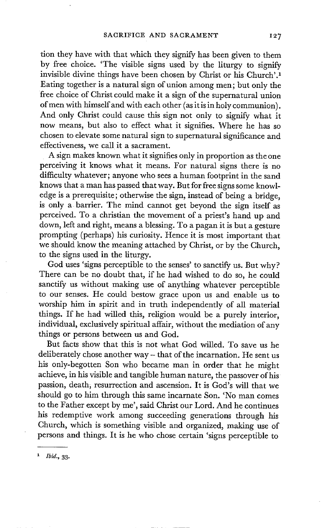tion they have with that which they signify has been given to them by free choice. 'The visible signs used by the liturgy to signify invisible divine things have been chosen by Christ or his Church'. 1 Eating together is a natural sign of union among men; but only the free choice of Christ could make it a sign of the supernatural union of men with himself and with each other (as it is in holy communion). And only Christ could cause this sign not only to signify what it now means, but also to effect what it signifies. Where he has so chosen to elevate some natural sign to supernatural significance and effectiveness, we call it a sacrament.

A sign makes known what it signifies only in proportion as the one perceiving it knows what it means. For natural signs there is no difficulty whatever; anyone who sees a human footprint in the sand knows that a man has passed that way. But for free signs some knowledge is a prerequisite; otherwise the sign, instead of being a bridge, is only a barrier. The mind cannot get beyond the sign itself as perceived. To a christian the movement of a priest's hand up and down, left and right, means a blessing. To a pagan it is but a gesture prompting (perhaps) his curiosity. Hence it is most important that we should know the meaning attached by Christ, or by the Church, to the signs used in the liturgy.

God uses 'signs perceptible to the senses' to sanctify us. But why? There can be no doubt that, if he had wished to do so, he could sanctify us without making use of anything whatever perceptible to our senses. He could bestow grace upon us and enable us to worship him in spirit and in truth independently of all material things. If he had willed this, religion would be a purely interior, individual, exclusively spiritual affair, without the mediation of any things or persons between us and God.

But facts show that this is not what God willed. To save us he deliberately chose another way- that of the incarnation. He sent us his only-begotten Son who became man in order that he might achieve, in his visible and tangible human nature, the passover of his passion, death, resurrection and ascension. It is God's will that we should go to him through this same incarnate Son. 'No man comes to the Father except by me', said Christ our Lord. And he continues his redemptive work among succeeding generations through his Church, which is something visible and organized, making use of persons and things. It is he who chose certain 'signs perceptible to

*i Ibld.,* 33.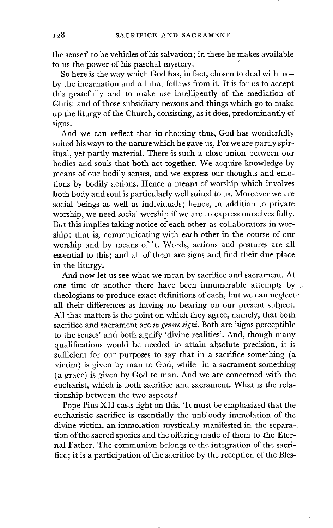the senses' to be vehicles of his salvation; in these he makes available to us the power of his paschal mystery.

So here is the way which God has, in fact, chosen to deal with us by the incarnation and all that follows from it. It is for us to accept this gratefully and to make use intelligently of the mediation of Christ and of those subsidiary persons and things which go to make up the liturgy of the Church, consisting, as it does, predominantly of signs.

And we can reflect that in choosing thus, God has wonderfully suited his ways to the nature which he gave us. For we are partly spiritual, yet partly material. There is such a close union between our bodies and souls that both act together. We acquire knowledge by means of our bodily senses , and we express our thoughts and emotions by bodily actions. Hence a means of worship which involves both body and soul is particularly well suited to us. Moreover we are social beings as well as individuals; hence, in addition to private worship, we need social worship if we are to express ourselves fully. But this implies taking notice of each other as collaborators in worship: that is, communicating with each other in the course of our worship and by means of it. Words, actions and postures are all essential to this; and all of them are signs and find their due place in the liturgy.

And now let us see what we mean by sacrifice and sacrament. At one time or another there have been innumerable attempts by  $\gamma$ theologians to produce exact definitions of each, but we can neglect  $\ell$ all their differences as having no bearing on our present subject. All that matters is the point on which they agree, namely, that both sacrifice and sacrament are *in genere signi.* Both are 'signs perceptible to the senses' and both signify 'divine realities'. And, though many qualifications would be needed to attain absolute precision, it is sufficient for our purposes to say that in a sacrifice something (a victim) is given by man to God, while in a sacrament something (a grace) is given by God to man. And we are concerned with the eucharist, which is both sacrifice and sacrament. What is the relationship between the two aspects ?

Pope Pius XII casts light on this. 'It must be emphasized that the eucharistic sacrifice is essentially the unbloody immolation of the divine victim, an immolation mystically manifested in the separation of the sacred species and the offering made of them to the Eternal Father. The communion belongs to the integration of the sacrifice; it is a participation of the sacrifice by the reception of the Bles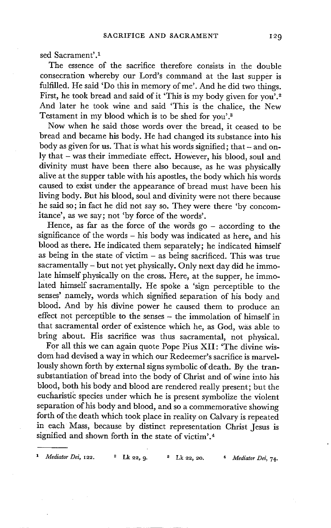sed Sacrament'.<sup>1</sup>

The essence of the sacrifice therefore consists in the double consecration whereby our Lord's command at the last supper is fulfilled. He said 'Do this in memory of me'. And he did two things. First, he took bread and said of it 'This is my body given for you'.<sup>2</sup> And later he took wine and said 'This is the chalice, the New Testament in my blood which is to be shed for you'.<sup>3</sup>

Now when he said those words over the bread, it ceased to be bread and became his body. He had changed its substance into his body as given for us. That is what his words signified; that  $-$  and only that - was their immediate effect. However, his blood, soul and divinity must have been there also because, as he was physically alive at the supper table with his apostles, the body which his words caused to exist under the appearance of bread must have been his living body. But his blood, soul and divinity were not there because he said so; in fact he did not say so. They were there 'by concomitance', as we say; not 'by force of the words'.

Hence, as far as the force of the words go  $-$  according to the significance of the words - his body was indicated as here, and his blood as there. He indicated them separately; he indicated himself as being in the state of victim - as being sacrificed. This was true sacramentally - but not yet physically. Only next day did he immolate himself physically on the cross. Here, at the supper, he immolated himself sacramentally. He spoke a 'sign perceptible to the senses' namely, words which signified separation of his body and blood. And by his divine power he caused them to produce an effect not perceptible to the senses - the immolation of himself in that sacramental order of existence which he, as God, was able to bring about. His sacrifice was thus sacramental, not physical.

For all this we can again quote Pope Pius XII: 'The divine wisdom had devised a way in which our Redeemer's sacrifice is marvellously shown forth by external signs symbolic of death. By the transubstantiation of bread into the body of Christ and of wine into his blood, both his body and blood are rendered really present; but the eucharistic species under which he is present symbolize the violent separation of his body and blood, and so a commemorative showing forth of the death which took place in reality on Calvary is repeated in each Mass, because by distinct representation Christ Jesus is signified and shown forth in the state of victim'.<sup>4</sup>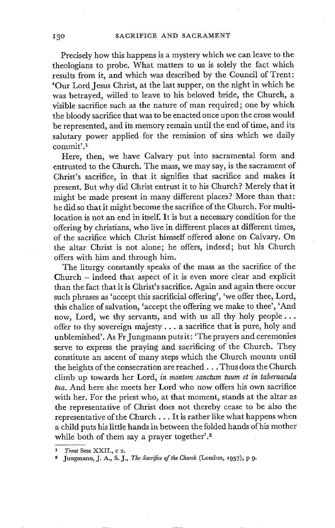Precisely how this happens is a mystery which we can leave to the theologians to probe. What matters to us is solely the fact which results from it, and which was described by the Council of Trent: 'Our Lord Jesus Christ, at the last supper, on the night in which he was betrayed, willed to leave to his beloved bride, the Church, a visible sacrifice such as the nature of man required; one by which the bloody sacrifice that was to be enacted once upon the cross would be represented, and its memory remain until the end of time, and its salutary power applied for the remission of sins which we daily commit'. 1

Here, then, we have Calvary put into sacramental form and entrusted to the Church. The mass, we may say, is the sacrament of Christ's sacrifice, in that it signifies that sacrifice and makes it present. But why did Christ entrust it to his Church? Merely that it might be made present in many different places? More than that: he did so that it might become the sacrifice of the Church. For multilocation is not an end in itself. It is but a necessary condition for the offering by christians, who live in different places at different times, of the sacrifice which Christ himself offered alone on Calvary. On the altar Christ is not alone; he offers, indeed; but his Church offers with him and through him.

The liturgy constantly speaks of the mass as the sacrifice of the Church - indeed that aspect of it is even more clear and explicit than the fact that it is Christ's sacrifice. Again and again there occur such phrases as 'accept this sacrificial offering', 'we offer thee, Lord, this chalice of salvation, 'accept the offering we make to thee', 'And now, Lord, we thy servants, and with us all thy holy people... offer to thy sovereign majesty.., a sacrifice that is pure, holy and unblemished'. As Fr Jungmann puts it: 'The prayers and ceremonies serve to express the praying and sacrificing of the Church. They constitute an ascent of many steps which the Church mounts until the heights of the consecration are reached... Thus does the Church climb up towards her Lord, *in montem sanctum tuum et in tabernacula tua.* And here she meets her Lord who now offers his own sacrifice with her. For the priest who, at that moment, stands at the altar as the representative of Christ does not thereby cease to be also the representative of the Church... It is rather like what happens when a child puts his little hands in between the folded hands of his mother while both of them say a prayer together'.<sup>2</sup>

*<sup>1</sup> Trent* **Sess XXII., c 2.** 

Jungmann, J. A., S.J., *The Sacrifice of the Church* (London, 1957), p 9.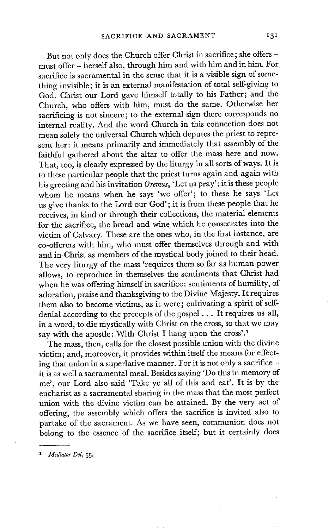But not only does the Church offer Christ in sacrifice; she offers must offer - herself also, through him and with him and in him. For sacrifice is sacramental in the sense that it is a visible sign of something invisible; it is an external manifestation of total self-giving to God. Christ our Lord gave himself totally to his Father; and the Church, who offers with him, must do the same. Otherwise her sacrificing is not sincere; to the external sign there corresponds no internal reality. And the word Church in this connection does not mean solely the universal Church which deputes the priest to represent her: it means primarily and immediately that assembly of the faithful gathered about the altar to offer the mass here and now. That, too, is clearly expressed by the liturgy in all sorts of ways. It is to these particular people that the priest turns again and again with his greeting and his invitation *Oremus,* 'Let us pray'; it is these people whom he means when he says 'we offer'; to these he says 'Let us give thanks to the Lord our God'; it is from these people that he receives, in kind or through their collections, the material elements for the sacrifice, the bread and wine which he consecrates into the victim of Calvary. These are the ones who, in the first instance, are co-offerers with him, who must offer themselves through and with and in Christ as members of the mystical body joined to their head. The very liturgy of the mass 'requires them so far as human power allows, to reproduce in themselves the sentiments that Christ had when he was offering himself in sacrifice: sentiments of humility, of adoration, praise and thanksgiving to the Divine Majesty. It requires them also to become victims, as it were; cultivating a spirit of selfdenial according to the precepts of the gospel... It requires us all, in a word, to die mystically with Christ on the cross, so that we may say with the apostle: With Christ I hang upon the cross'.<sup>1</sup>

The mass, then, calls for the closest possible union with the divine victim; and, moreover, it provides within itself the means for effecting that union in a superlative manner. For it is not only a sacrifice it is as well a sacramental meal. Besides saying 'Do this in memory of me', our Lord also said 'Take ye all of this and eat'. It is by the eucharist as a sacramental sharing in the mass that the most perfect union with the divine victim can be attained. By the very act of offering, the assembly which offers the sacrifice is invited also to partake of the sacrament. As we have seen, communion does not belong to the essence of the sacrifice itself; but it certainly does

<sup>1</sup> Mediator Dei, 55.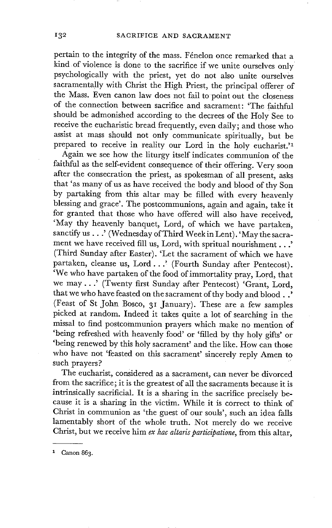pertain to the integrity of the mass. Fénelon once remarked that a kind of violence is done to the sacrifice if we unite ourselves only psychologically with the priest, yet do not also unite ourselves sacramentally with Christ the High Priest, the principal offerer of the Mass. Even canon law does not fail to point out the closeness of the connection between sacrifice and sacrament: 'The faithful should be admonished according to the decrees of the Holy See to receive the eucharistic bread frequently, even daily; and those who assist at mass should not only communicate spiritually, but be prepared to receive in reality our Lord in the holy eucharist.'<sup>1</sup>

Again we see how the liturgy itself indicates communion of the faithful as the self-evident consequence of their offering. Very soon after the consecration the priest, as spokesman of all present, asks that 'as many of us as have received the body and blood of thy Son by partaking from this altar may be filled with every heavenly blessing and grace'. The postcommunions, again and again, take it for granted that those who have offered will also have received, 'May thy heavenly banquet, Lord, of which we have partaken, sanctify us . . .' (Wednesday of Third Week in Lent). 'May the sacrament we have received fill us, Lord, with spritual nourishment...' (Third Sunday after Easter). 'Let the sacrament of which we have partaken, cleanse us, Lord...' (Fourth Sunday after Pentecost).  $\sqrt{\frac{1}{N}}$  We who have partaken of the food of immortality pray, Lord, that we may...' (Twenty first Sunday after Pentecost) 'Grant, Lord, that we who have feasted on the sacrament of thy body and blood..' (Feast of St John Bosco, 31 January). These are a few samples picked at random. Indeed it takes quite a lot of searching in the missal to find postcommunion prayers which make no mention of 'being refreshed with heavenly food' or 'filled by thy holy gifts' or 'being renewed by this holy sacrament' and the like. How can those who have not 'feasted on this sacrament' sincerely reply Amen to such prayers?

The eucharist, considered as a sacrament, can never be divorced from the sacrifice; it is the greatest of all the sacraments because it is intrinsically sacrificial. It is a sharing in the sacrifice precisely because it is a sharing in the victim. While it is correct to think of Christ in communion as 'the guest of our souls', such an idea falls lamentably short of the whole truth. Not merely do we receive Christ, but we receive him *ex hac altaris participatione,* from this altar,

 $^1$  Canon 863.